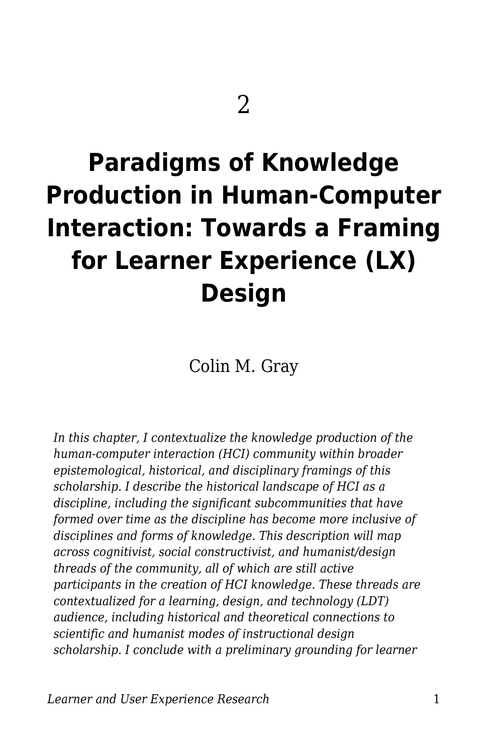# **Paradigms of Knowledge Production in Human-Computer Interaction: Towards a Framing for Learner Experience (LX) Design**

Colin M. Gray

*In this chapter, I contextualize the knowledge production of the human-computer interaction (HCI) community within broader epistemological, historical, and disciplinary framings of this scholarship. I describe the historical landscape of HCI as a discipline, including the significant subcommunities that have formed over time as the discipline has become more inclusive of disciplines and forms of knowledge. This description will map across cognitivist, social constructivist, and humanist/design threads of the community, all of which are still active participants in the creation of HCI knowledge. These threads are contextualized for a learning, design, and technology (LDT) audience, including historical and theoretical connections to scientific and humanist modes of instructional design scholarship. I conclude with a preliminary grounding for learner*

*Learner and User Experience Research* 1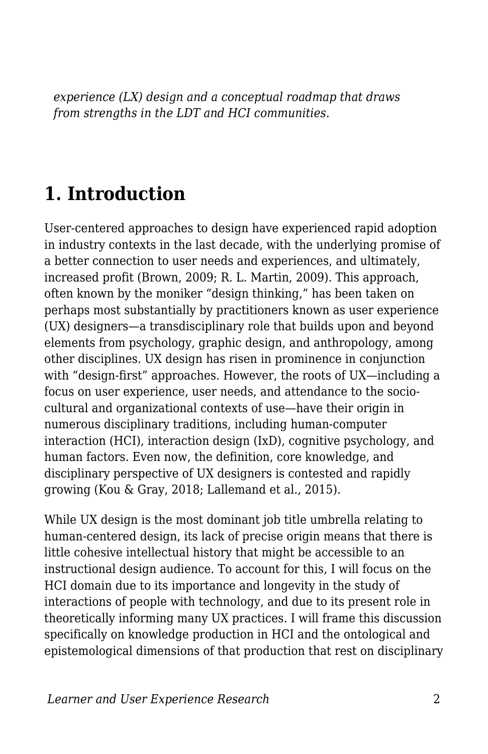*experience (LX) design and a conceptual roadmap that draws from strengths in the LDT and HCI communities.*

### **1. Introduction**

User-centered approaches to design have experienced rapid adoption in industry contexts in the last decade, with the underlying promise of a better connection to user needs and experiences, and ultimately, increased profit (Brown, 2009; R. L. Martin, 2009). This approach, often known by the moniker "design thinking," has been taken on perhaps most substantially by practitioners known as user experience (UX) designers—a transdisciplinary role that builds upon and beyond elements from psychology, graphic design, and anthropology, among other disciplines. UX design has risen in prominence in conjunction with "design-first" approaches. However, the roots of UX—including a focus on user experience, user needs, and attendance to the sociocultural and organizational contexts of use—have their origin in numerous disciplinary traditions, including human-computer interaction (HCI), interaction design (IxD), cognitive psychology, and human factors. Even now, the definition, core knowledge, and disciplinary perspective of UX designers is contested and rapidly growing (Kou & Gray, 2018; Lallemand et al., 2015).

While UX design is the most dominant job title umbrella relating to human-centered design, its lack of precise origin means that there is little cohesive intellectual history that might be accessible to an instructional design audience. To account for this, I will focus on the HCI domain due to its importance and longevity in the study of interactions of people with technology, and due to its present role in theoretically informing many UX practices. I will frame this discussion specifically on knowledge production in HCI and the ontological and epistemological dimensions of that production that rest on disciplinary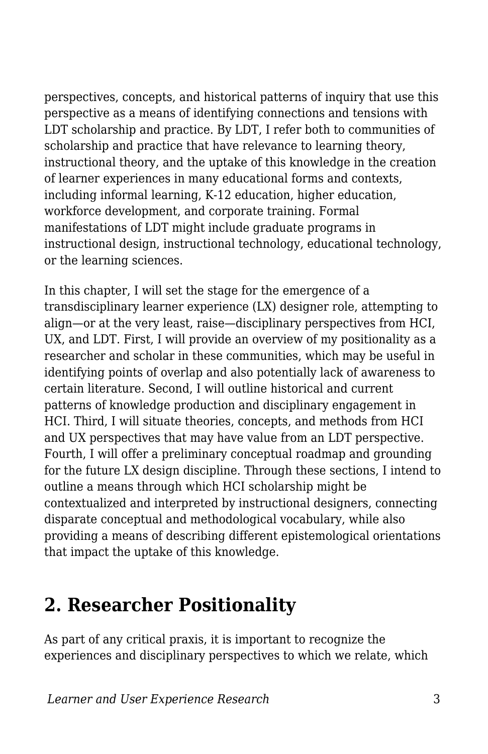perspectives, concepts, and historical patterns of inquiry that use this perspective as a means of identifying connections and tensions with LDT scholarship and practice. By LDT, I refer both to communities of scholarship and practice that have relevance to learning theory, instructional theory, and the uptake of this knowledge in the creation of learner experiences in many educational forms and contexts, including informal learning, K-12 education, higher education, workforce development, and corporate training. Formal manifestations of LDT might include graduate programs in instructional design, instructional technology, educational technology, or the learning sciences.

In this chapter, I will set the stage for the emergence of a transdisciplinary learner experience (LX) designer role, attempting to align—or at the very least, raise—disciplinary perspectives from HCI, UX, and LDT. First, I will provide an overview of my positionality as a researcher and scholar in these communities, which may be useful in identifying points of overlap and also potentially lack of awareness to certain literature. Second, I will outline historical and current patterns of knowledge production and disciplinary engagement in HCI. Third, I will situate theories, concepts, and methods from HCI and UX perspectives that may have value from an LDT perspective. Fourth, I will offer a preliminary conceptual roadmap and grounding for the future LX design discipline. Through these sections, I intend to outline a means through which HCI scholarship might be contextualized and interpreted by instructional designers, connecting disparate conceptual and methodological vocabulary, while also providing a means of describing different epistemological orientations that impact the uptake of this knowledge.

### **2. Researcher Positionality**

As part of any critical praxis, it is important to recognize the experiences and disciplinary perspectives to which we relate, which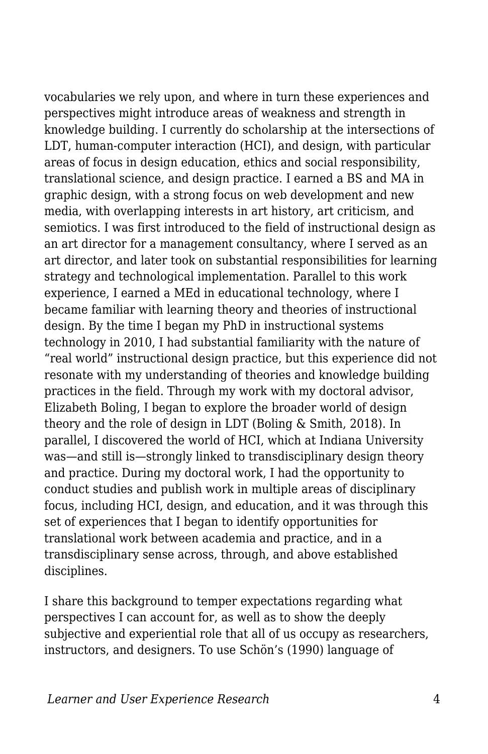vocabularies we rely upon, and where in turn these experiences and perspectives might introduce areas of weakness and strength in knowledge building. I currently do scholarship at the intersections of LDT, human-computer interaction (HCI), and design, with particular areas of focus in design education, ethics and social responsibility, translational science, and design practice. I earned a BS and MA in graphic design, with a strong focus on web development and new media, with overlapping interests in art history, art criticism, and semiotics. I was first introduced to the field of instructional design as an art director for a management consultancy, where I served as an art director, and later took on substantial responsibilities for learning strategy and technological implementation. Parallel to this work experience, I earned a MEd in educational technology, where I became familiar with learning theory and theories of instructional design. By the time I began my PhD in instructional systems technology in 2010, I had substantial familiarity with the nature of "real world" instructional design practice, but this experience did not resonate with my understanding of theories and knowledge building practices in the field. Through my work with my doctoral advisor, Elizabeth Boling, I began to explore the broader world of design theory and the role of design in LDT (Boling & Smith, 2018). In parallel, I discovered the world of HCI, which at Indiana University was—and still is—strongly linked to transdisciplinary design theory and practice. During my doctoral work, I had the opportunity to conduct studies and publish work in multiple areas of disciplinary focus, including HCI, design, and education, and it was through this set of experiences that I began to identify opportunities for translational work between academia and practice, and in a transdisciplinary sense across, through, and above established disciplines.

I share this background to temper expectations regarding what perspectives I can account for, as well as to show the deeply subjective and experiential role that all of us occupy as researchers, instructors, and designers. To use Schön's (1990) language of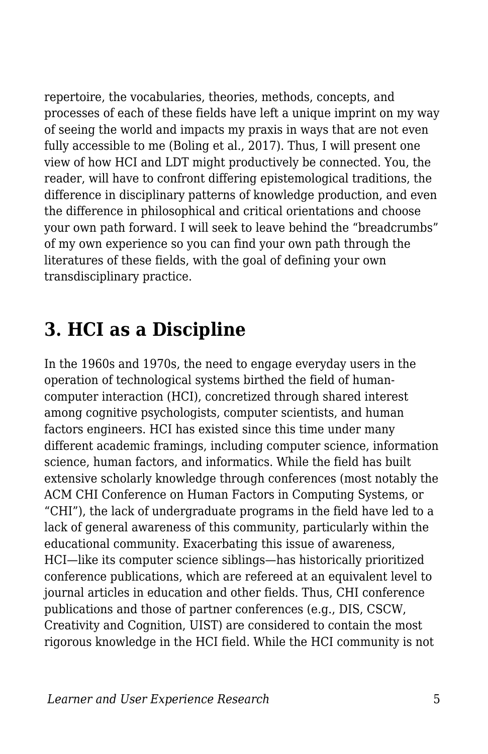repertoire, the vocabularies, theories, methods, concepts, and processes of each of these fields have left a unique imprint on my way of seeing the world and impacts my praxis in ways that are not even fully accessible to me (Boling et al., 2017). Thus, I will present one view of how HCI and LDT might productively be connected. You, the reader, will have to confront differing epistemological traditions, the difference in disciplinary patterns of knowledge production, and even the difference in philosophical and critical orientations and choose your own path forward. I will seek to leave behind the "breadcrumbs" of my own experience so you can find your own path through the literatures of these fields, with the goal of defining your own transdisciplinary practice.

### **3. HCI as a Discipline**

In the 1960s and 1970s, the need to engage everyday users in the operation of technological systems birthed the field of humancomputer interaction (HCI), concretized through shared interest among cognitive psychologists, computer scientists, and human factors engineers. HCI has existed since this time under many different academic framings, including computer science, information science, human factors, and informatics. While the field has built extensive scholarly knowledge through conferences (most notably the ACM CHI Conference on Human Factors in Computing Systems, or "CHI"), the lack of undergraduate programs in the field have led to a lack of general awareness of this community, particularly within the educational community. Exacerbating this issue of awareness, HCI—like its computer science siblings—has historically prioritized conference publications, which are refereed at an equivalent level to journal articles in education and other fields. Thus, CHI conference publications and those of partner conferences (e.g., DIS, CSCW, Creativity and Cognition, UIST) are considered to contain the most rigorous knowledge in the HCI field. While the HCI community is not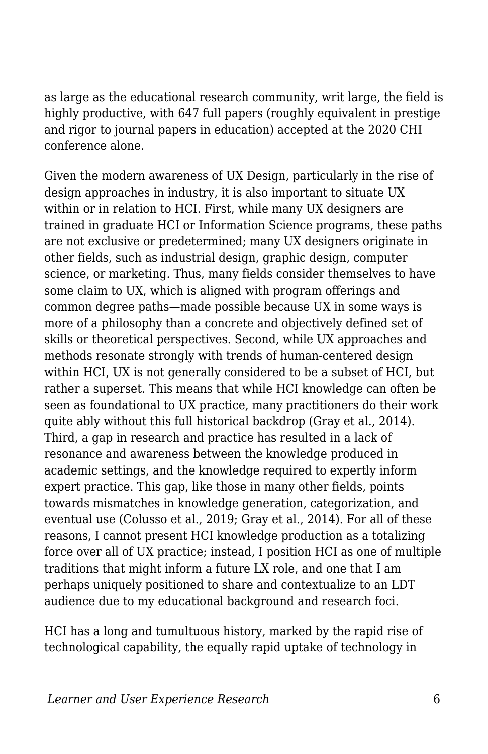as large as the educational research community, writ large, the field is highly productive, with 647 full papers (roughly equivalent in prestige and rigor to journal papers in education) accepted at the 2020 CHI conference alone.

Given the modern awareness of UX Design, particularly in the rise of design approaches in industry, it is also important to situate UX within or in relation to HCI. First, while many UX designers are trained in graduate HCI or Information Science programs, these paths are not exclusive or predetermined; many UX designers originate in other fields, such as industrial design, graphic design, computer science, or marketing. Thus, many fields consider themselves to have some claim to UX, which is aligned with program offerings and common degree paths—made possible because UX in some ways is more of a philosophy than a concrete and objectively defined set of skills or theoretical perspectives. Second, while UX approaches and methods resonate strongly with trends of human-centered design within HCI, UX is not generally considered to be a subset of HCI, but rather a superset. This means that while HCI knowledge can often be seen as foundational to UX practice, many practitioners do their work quite ably without this full historical backdrop (Gray et al., 2014). Third, a gap in research and practice has resulted in a lack of resonance and awareness between the knowledge produced in academic settings, and the knowledge required to expertly inform expert practice. This gap, like those in many other fields, points towards mismatches in knowledge generation, categorization, and eventual use (Colusso et al., 2019; Gray et al., 2014). For all of these reasons, I cannot present HCI knowledge production as a totalizing force over all of UX practice; instead, I position HCI as one of multiple traditions that might inform a future LX role, and one that I am perhaps uniquely positioned to share and contextualize to an LDT audience due to my educational background and research foci.

HCI has a long and tumultuous history, marked by the rapid rise of technological capability, the equally rapid uptake of technology in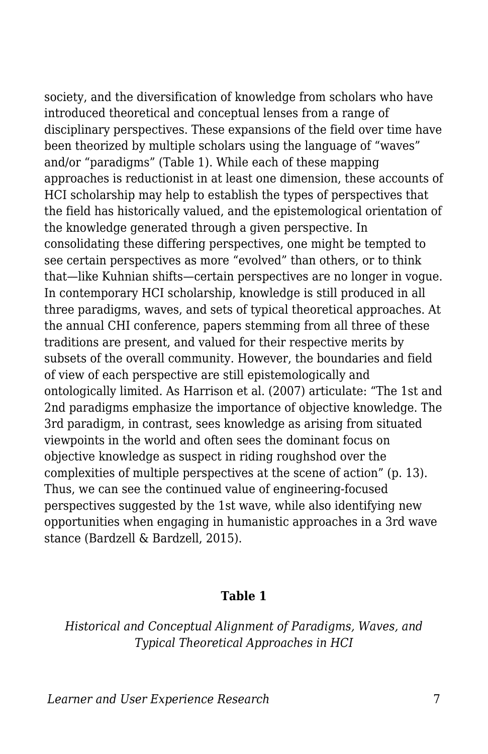society, and the diversification of knowledge from scholars who have introduced theoretical and conceptual lenses from a range of disciplinary perspectives. These expansions of the field over time have been theorized by multiple scholars using the language of "waves" and/or "paradigms" (Table 1). While each of these mapping approaches is reductionist in at least one dimension, these accounts of HCI scholarship may help to establish the types of perspectives that the field has historically valued, and the epistemological orientation of the knowledge generated through a given perspective. In consolidating these differing perspectives, one might be tempted to see certain perspectives as more "evolved" than others, or to think that—like Kuhnian shifts—certain perspectives are no longer in vogue. In contemporary HCI scholarship, knowledge is still produced in all three paradigms, waves, and sets of typical theoretical approaches. At the annual CHI conference, papers stemming from all three of these traditions are present, and valued for their respective merits by subsets of the overall community. However, the boundaries and field of view of each perspective are still epistemologically and ontologically limited. As Harrison et al. (2007) articulate: "The 1st and 2nd paradigms emphasize the importance of objective knowledge. The 3rd paradigm, in contrast, sees knowledge as arising from situated viewpoints in the world and often sees the dominant focus on objective knowledge as suspect in riding roughshod over the complexities of multiple perspectives at the scene of action" (p. 13). Thus, we can see the continued value of engineering-focused perspectives suggested by the 1st wave, while also identifying new opportunities when engaging in humanistic approaches in a 3rd wave stance (Bardzell & Bardzell, 2015).

#### **Table 1**

*Historical and Conceptual Alignment of Paradigms, Waves, and Typical Theoretical Approaches in HCI*

*Learner and User Experience Research* 7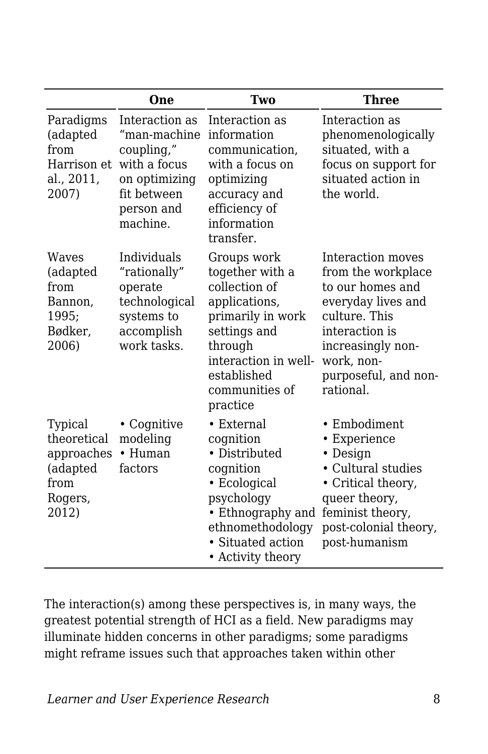|                                                                              | One                                                                                                                    | Two                                                                                                                                                                                   | Three                                                                                                                                                                                        |
|------------------------------------------------------------------------------|------------------------------------------------------------------------------------------------------------------------|---------------------------------------------------------------------------------------------------------------------------------------------------------------------------------------|----------------------------------------------------------------------------------------------------------------------------------------------------------------------------------------------|
| Paradigms<br>(adapted<br>from<br>Harrison et<br>al., 2011,<br>2007)          | Interaction as<br>"man-machine<br>coupling,"<br>with a focus<br>on optimizing<br>fit between<br>person and<br>machine. | Interaction as<br>information<br>communication,<br>with a focus on<br>optimizing<br>accuracy and<br>efficiency of<br>information<br>transfer.                                         | Interaction as<br>phenomenologically<br>situated, with a<br>focus on support for<br>situated action in<br>the world.                                                                         |
| Waves<br>(adapted<br>from<br>Bannon,<br>1995;<br>Bødker,<br>2006)            | Individuals<br>"rationally"<br>operate<br>technological<br>systems to<br>accomplish<br>work tasks.                     | Groups work<br>together with a<br>collection of<br>applications,<br>primarily in work<br>settings and<br>through<br>interaction in well-<br>established<br>communities of<br>practice | Interaction moves<br>from the workplace<br>to our homes and<br>everyday lives and<br>culture. This<br>interaction is<br>increasingly non-<br>work, non-<br>purposeful, and non-<br>rational. |
| Typical<br>theoretical<br>approaches<br>(adapted<br>from<br>Rogers,<br>2012) | • Cognitive<br>modeling<br>• Human<br>factors                                                                          | $\bullet$ External<br>cognition<br>• Distributed<br>cognition<br>• Ecological<br>psychology<br>• Ethnography and<br>ethnomethodology<br>• Situated action<br>• Activity theory        | • Embodiment<br>• Experience<br>• Design<br>• Cultural studies<br>• Critical theory,<br>queer theory,<br>feminist theory,<br>post-colonial theory,<br>post-humanism                          |

The interaction(s) among these perspectives is, in many ways, the greatest potential strength of HCI as a field. New paradigms may illuminate hidden concerns in other paradigms; some paradigms might reframe issues such that approaches taken within other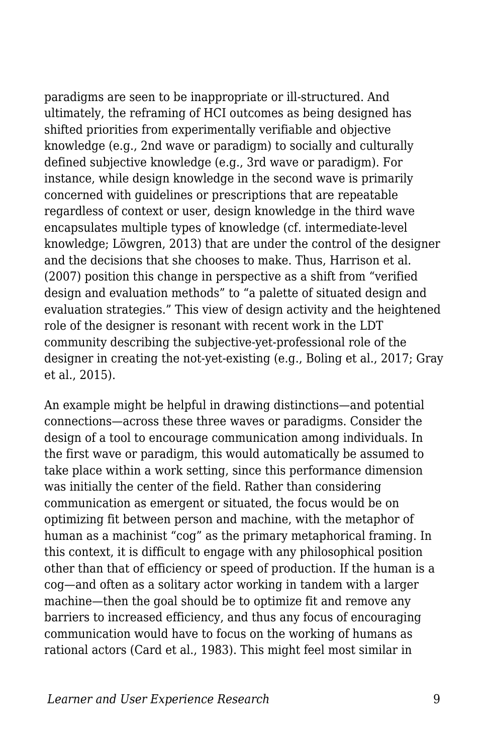paradigms are seen to be inappropriate or ill-structured. And ultimately, the reframing of HCI outcomes as being designed has shifted priorities from experimentally verifiable and objective knowledge (e.g., 2nd wave or paradigm) to socially and culturally defined subjective knowledge (e.g., 3rd wave or paradigm). For instance, while design knowledge in the second wave is primarily concerned with guidelines or prescriptions that are repeatable regardless of context or user, design knowledge in the third wave encapsulates multiple types of knowledge (cf. intermediate-level knowledge; Löwgren, 2013) that are under the control of the designer and the decisions that she chooses to make. Thus, Harrison et al. (2007) position this change in perspective as a shift from "verified design and evaluation methods" to "a palette of situated design and evaluation strategies." This view of design activity and the heightened role of the designer is resonant with recent work in the LDT community describing the subjective-yet-professional role of the designer in creating the not-yet-existing (e.g., Boling et al., 2017; Gray et al., 2015).

An example might be helpful in drawing distinctions—and potential connections—across these three waves or paradigms. Consider the design of a tool to encourage communication among individuals. In the first wave or paradigm, this would automatically be assumed to take place within a work setting, since this performance dimension was initially the center of the field. Rather than considering communication as emergent or situated, the focus would be on optimizing fit between person and machine, with the metaphor of human as a machinist "cog" as the primary metaphorical framing. In this context, it is difficult to engage with any philosophical position other than that of efficiency or speed of production. If the human is a cog—and often as a solitary actor working in tandem with a larger machine—then the goal should be to optimize fit and remove any barriers to increased efficiency, and thus any focus of encouraging communication would have to focus on the working of humans as rational actors (Card et al., 1983). This might feel most similar in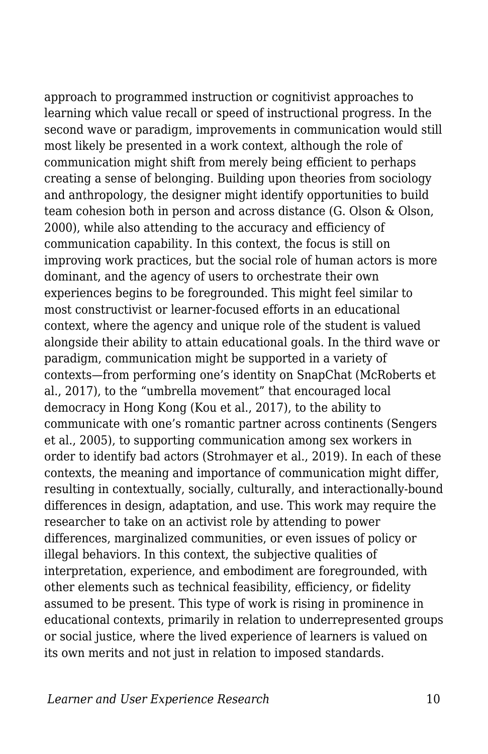approach to programmed instruction or cognitivist approaches to learning which value recall or speed of instructional progress. In the second wave or paradigm, improvements in communication would still most likely be presented in a work context, although the role of communication might shift from merely being efficient to perhaps creating a sense of belonging. Building upon theories from sociology and anthropology, the designer might identify opportunities to build team cohesion both in person and across distance (G. Olson & Olson, 2000), while also attending to the accuracy and efficiency of communication capability. In this context, the focus is still on improving work practices, but the social role of human actors is more dominant, and the agency of users to orchestrate their own experiences begins to be foregrounded. This might feel similar to most constructivist or learner-focused efforts in an educational context, where the agency and unique role of the student is valued alongside their ability to attain educational goals. In the third wave or paradigm, communication might be supported in a variety of contexts—from performing one's identity on SnapChat (McRoberts et al., 2017), to the "umbrella movement" that encouraged local democracy in Hong Kong (Kou et al., 2017), to the ability to communicate with one's romantic partner across continents (Sengers et al., 2005), to supporting communication among sex workers in order to identify bad actors (Strohmayer et al., 2019). In each of these contexts, the meaning and importance of communication might differ, resulting in contextually, socially, culturally, and interactionally-bound differences in design, adaptation, and use. This work may require the researcher to take on an activist role by attending to power differences, marginalized communities, or even issues of policy or illegal behaviors. In this context, the subjective qualities of interpretation, experience, and embodiment are foregrounded, with other elements such as technical feasibility, efficiency, or fidelity assumed to be present. This type of work is rising in prominence in educational contexts, primarily in relation to underrepresented groups or social justice, where the lived experience of learners is valued on its own merits and not just in relation to imposed standards.

*Learner and User Experience Research* 10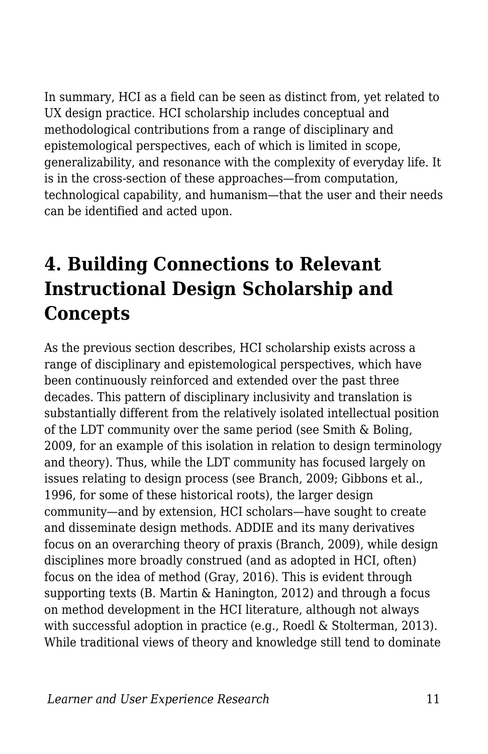In summary, HCI as a field can be seen as distinct from, yet related to UX design practice. HCI scholarship includes conceptual and methodological contributions from a range of disciplinary and epistemological perspectives, each of which is limited in scope, generalizability, and resonance with the complexity of everyday life. It is in the cross-section of these approaches—from computation, technological capability, and humanism—that the user and their needs can be identified and acted upon.

# **4. Building Connections to Relevant Instructional Design Scholarship and Concepts**

As the previous section describes, HCI scholarship exists across a range of disciplinary and epistemological perspectives, which have been continuously reinforced and extended over the past three decades. This pattern of disciplinary inclusivity and translation is substantially different from the relatively isolated intellectual position of the LDT community over the same period (see Smith & Boling, 2009, for an example of this isolation in relation to design terminology and theory). Thus, while the LDT community has focused largely on issues relating to design process (see Branch, 2009; Gibbons et al., 1996, for some of these historical roots), the larger design community—and by extension, HCI scholars—have sought to create and disseminate design methods. ADDIE and its many derivatives focus on an overarching theory of praxis (Branch, 2009), while design disciplines more broadly construed (and as adopted in HCI, often) focus on the idea of method (Gray, 2016). This is evident through supporting texts (B. Martin & Hanington, 2012) and through a focus on method development in the HCI literature, although not always with successful adoption in practice (e.g., Roedl & Stolterman, 2013). While traditional views of theory and knowledge still tend to dominate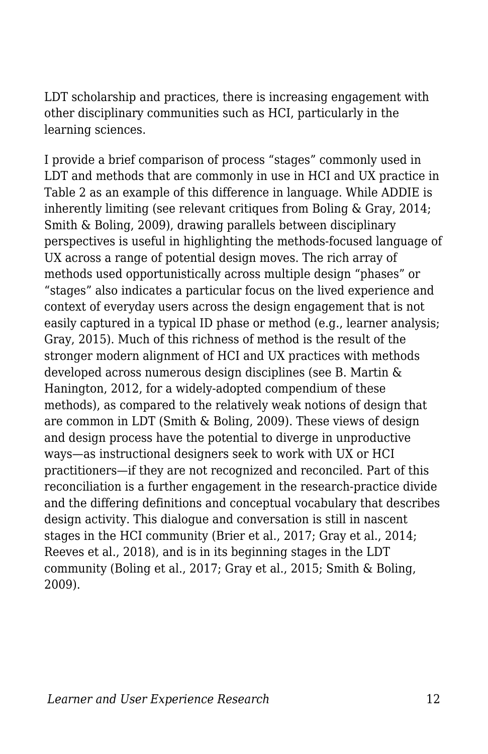LDT scholarship and practices, there is increasing engagement with other disciplinary communities such as HCI, particularly in the learning sciences.

I provide a brief comparison of process "stages" commonly used in LDT and methods that are commonly in use in HCI and UX practice in Table 2 as an example of this difference in language. While ADDIE is inherently limiting (see relevant critiques from Boling & Gray, 2014; Smith & Boling, 2009), drawing parallels between disciplinary perspectives is useful in highlighting the methods-focused language of UX across a range of potential design moves. The rich array of methods used opportunistically across multiple design "phases" or "stages" also indicates a particular focus on the lived experience and context of everyday users across the design engagement that is not easily captured in a typical ID phase or method (e.g., learner analysis; Gray, 2015). Much of this richness of method is the result of the stronger modern alignment of HCI and UX practices with methods developed across numerous design disciplines (see B. Martin & Hanington, 2012, for a widely-adopted compendium of these methods), as compared to the relatively weak notions of design that are common in LDT (Smith & Boling, 2009). These views of design and design process have the potential to diverge in unproductive ways—as instructional designers seek to work with UX or HCI practitioners—if they are not recognized and reconciled. Part of this reconciliation is a further engagement in the research-practice divide and the differing definitions and conceptual vocabulary that describes design activity. This dialogue and conversation is still in nascent stages in the HCI community (Brier et al., 2017; Gray et al., 2014; Reeves et al., 2018), and is in its beginning stages in the LDT community (Boling et al., 2017; Gray et al., 2015; Smith & Boling, 2009).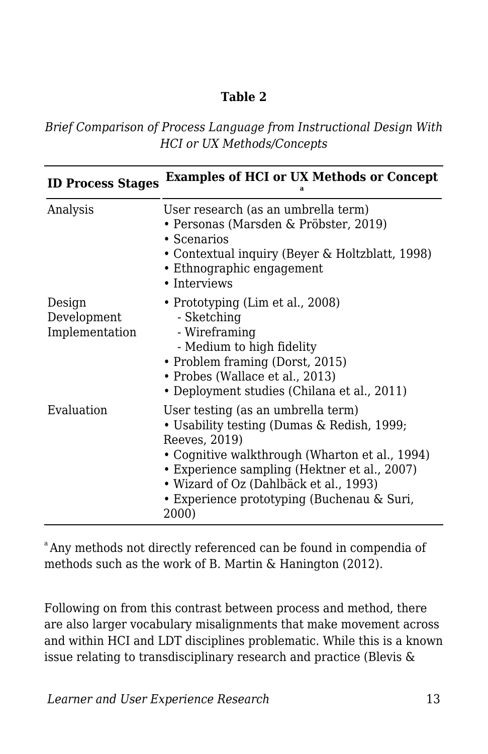#### **Table 2**

*Brief Comparison of Process Language from Instructional Design With HCI or UX Methods/Concepts*

| <b>ID Process Stages</b>                | <b>Examples of HCI or UX Methods or Concept</b>                                                                                                                                                                                                                                                      |
|-----------------------------------------|------------------------------------------------------------------------------------------------------------------------------------------------------------------------------------------------------------------------------------------------------------------------------------------------------|
| Analysis                                | User research (as an umbrella term)<br>• Personas (Marsden & Pröbster, 2019)<br>$\cdot$ Scenarios<br>• Contextual inquiry (Beyer & Holtzblatt, 1998)<br>• Ethnographic engagement<br>• Interviews                                                                                                    |
| Design<br>Development<br>Implementation | • Prototyping (Lim et al., 2008)<br>- Sketching<br>- Wireframing<br>- Medium to high fidelity<br>• Problem framing (Dorst, 2015)<br>• Probes (Wallace et al., 2013)<br>• Deployment studies (Chilana et al., 2011)                                                                                   |
| Evaluation                              | User testing (as an umbrella term)<br>• Usability testing (Dumas & Redish, 1999;<br>Reeves, 2019)<br>• Cognitive walkthrough (Wharton et al., 1994)<br>• Experience sampling (Hektner et al., 2007)<br>• Wizard of Oz (Dahlbäck et al., 1993)<br>• Experience prototyping (Buchenau & Suri,<br>2000) |

<sup>a</sup> Any methods not directly referenced can be found in compendia of methods such as the work of B. Martin & Hanington (2012).

Following on from this contrast between process and method, there are also larger vocabulary misalignments that make movement across and within HCI and LDT disciplines problematic. While this is a known issue relating to transdisciplinary research and practice (Blevis &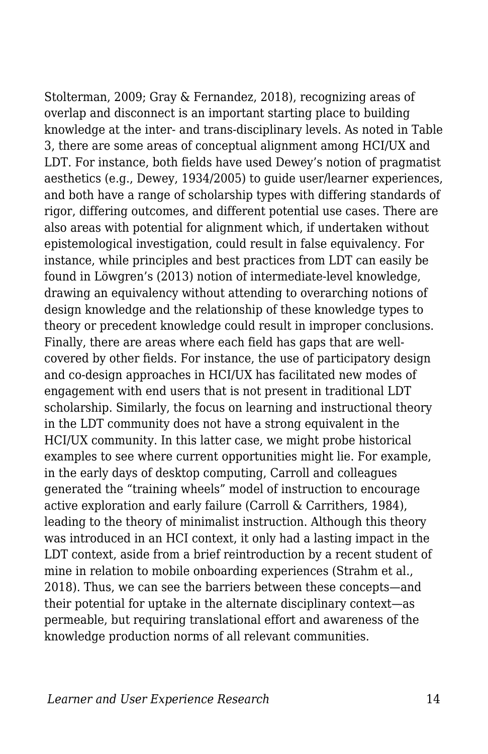Stolterman, 2009; Gray & Fernandez, 2018), recognizing areas of overlap and disconnect is an important starting place to building knowledge at the inter- and trans-disciplinary levels. As noted in Table 3, there are some areas of conceptual alignment among HCI/UX and LDT. For instance, both fields have used Dewey's notion of pragmatist aesthetics (e.g., Dewey, 1934/2005) to guide user/learner experiences, and both have a range of scholarship types with differing standards of rigor, differing outcomes, and different potential use cases. There are also areas with potential for alignment which, if undertaken without epistemological investigation, could result in false equivalency. For instance, while principles and best practices from LDT can easily be found in Löwgren's (2013) notion of intermediate-level knowledge, drawing an equivalency without attending to overarching notions of design knowledge and the relationship of these knowledge types to theory or precedent knowledge could result in improper conclusions. Finally, there are areas where each field has gaps that are wellcovered by other fields. For instance, the use of participatory design and co-design approaches in HCI/UX has facilitated new modes of engagement with end users that is not present in traditional LDT scholarship. Similarly, the focus on learning and instructional theory in the LDT community does not have a strong equivalent in the HCI/UX community. In this latter case, we might probe historical examples to see where current opportunities might lie. For example, in the early days of desktop computing, Carroll and colleagues generated the "training wheels" model of instruction to encourage active exploration and early failure (Carroll & Carrithers, 1984), leading to the theory of minimalist instruction. Although this theory was introduced in an HCI context, it only had a lasting impact in the LDT context, aside from a brief reintroduction by a recent student of mine in relation to mobile onboarding experiences (Strahm et al., 2018). Thus, we can see the barriers between these concepts—and their potential for uptake in the alternate disciplinary context—as permeable, but requiring translational effort and awareness of the knowledge production norms of all relevant communities.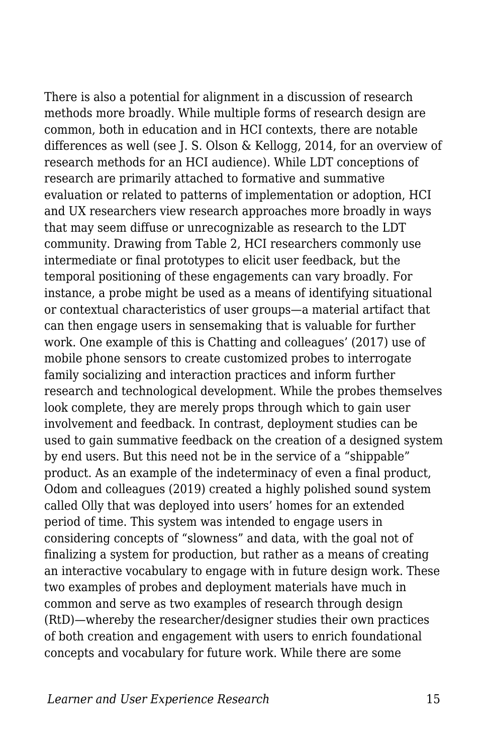There is also a potential for alignment in a discussion of research methods more broadly. While multiple forms of research design are common, both in education and in HCI contexts, there are notable differences as well (see J. S. Olson & Kellogg, 2014, for an overview of research methods for an HCI audience). While LDT conceptions of research are primarily attached to formative and summative evaluation or related to patterns of implementation or adoption, HCI and UX researchers view research approaches more broadly in ways that may seem diffuse or unrecognizable as research to the LDT community. Drawing from Table 2, HCI researchers commonly use intermediate or final prototypes to elicit user feedback, but the temporal positioning of these engagements can vary broadly. For instance, a probe might be used as a means of identifying situational or contextual characteristics of user groups—a material artifact that can then engage users in sensemaking that is valuable for further work. One example of this is Chatting and colleagues' (2017) use of mobile phone sensors to create customized probes to interrogate family socializing and interaction practices and inform further research and technological development. While the probes themselves look complete, they are merely props through which to gain user involvement and feedback. In contrast, deployment studies can be used to gain summative feedback on the creation of a designed system by end users. But this need not be in the service of a "shippable" product. As an example of the indeterminacy of even a final product, Odom and colleagues (2019) created a highly polished sound system called Olly that was deployed into users' homes for an extended period of time. This system was intended to engage users in considering concepts of "slowness" and data, with the goal not of finalizing a system for production, but rather as a means of creating an interactive vocabulary to engage with in future design work. These two examples of probes and deployment materials have much in common and serve as two examples of research through design (RtD)—whereby the researcher/designer studies their own practices of both creation and engagement with users to enrich foundational concepts and vocabulary for future work. While there are some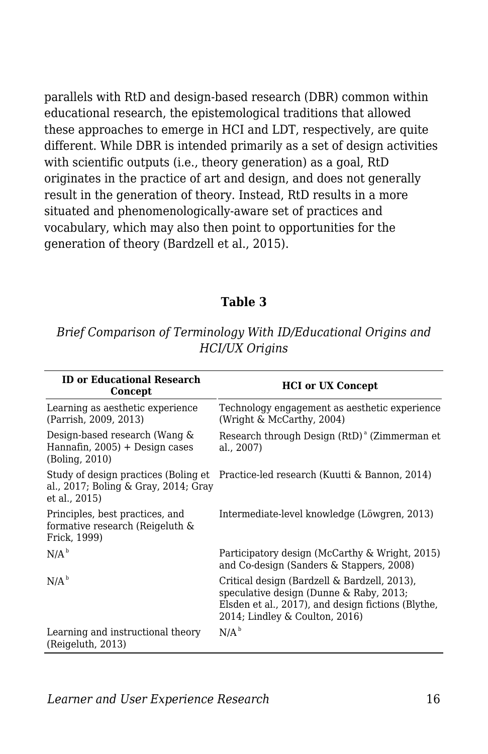parallels with RtD and design-based research (DBR) common within educational research, the epistemological traditions that allowed these approaches to emerge in HCI and LDT, respectively, are quite different. While DBR is intended primarily as a set of design activities with scientific outputs (i.e., theory generation) as a goal, RtD originates in the practice of art and design, and does not generally result in the generation of theory. Instead, RtD results in a more situated and phenomenologically-aware set of practices and vocabulary, which may also then point to opportunities for the generation of theory (Bardzell et al., 2015).

#### **Table 3**

*Brief Comparison of Terminology With ID/Educational Origins and HCI/UX Origins*

| <b>ID or Educational Research</b><br>Concept                                       | <b>HCI</b> or UX Concept                                                                                                                                                        |
|------------------------------------------------------------------------------------|---------------------------------------------------------------------------------------------------------------------------------------------------------------------------------|
| Learning as aesthetic experience<br>(Parrish, 2009, 2013)                          | Technology engagement as aesthetic experience<br>(Wright & McCarthy, 2004)                                                                                                      |
| Design-based research (Wang &<br>Hannafin, 2005) + Design cases<br>(Boling, 2010)  | Research through Design (RtD) <sup>a</sup> (Zimmerman et<br>al., 2007)                                                                                                          |
| al., 2017; Boling & Gray, 2014; Gray<br>et al., 2015)                              | Study of design practices (Boling et Practice-led research (Kuutti & Bannon, 2014)                                                                                              |
| Principles, best practices, and<br>formative research (Reigeluth &<br>Frick, 1999) | Intermediate-level knowledge (Löwgren, 2013)                                                                                                                                    |
| N/A <sup>b</sup>                                                                   | Participatory design (McCarthy & Wright, 2015)<br>and Co-design (Sanders & Stappers, 2008)                                                                                      |
| N/A <sup>b</sup>                                                                   | Critical design (Bardzell & Bardzell, 2013),<br>speculative design (Dunne & Raby, 2013;<br>Elsden et al., 2017), and design fictions (Blythe,<br>2014; Lindley & Coulton, 2016) |
| Learning and instructional theory<br>(Reigeluth, 2013)                             | N/A <sup>b</sup>                                                                                                                                                                |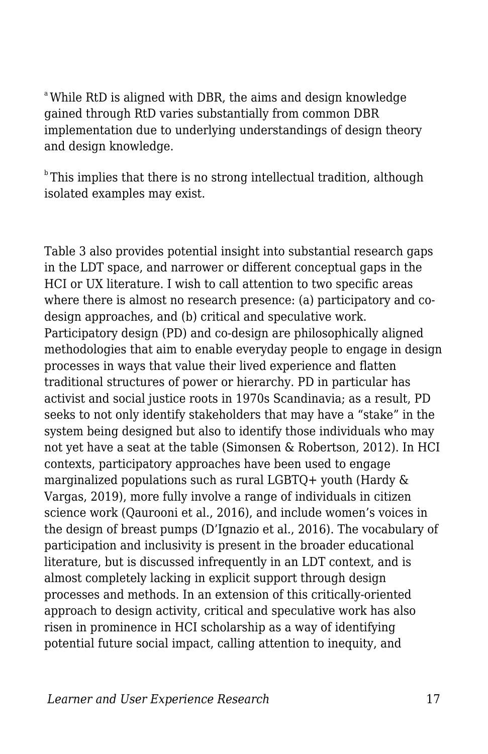<sup>a</sup>While RtD is aligned with DBR, the aims and design knowledge gained through RtD varies substantially from common DBR implementation due to underlying understandings of design theory and design knowledge.

 $\mu$ <sup>b</sup>This implies that there is no strong intellectual tradition, although isolated examples may exist.

Table 3 also provides potential insight into substantial research gaps in the LDT space, and narrower or different conceptual gaps in the HCI or UX literature. I wish to call attention to two specific areas where there is almost no research presence: (a) participatory and codesign approaches, and (b) critical and speculative work. Participatory design (PD) and co-design are philosophically aligned methodologies that aim to enable everyday people to engage in design processes in ways that value their lived experience and flatten traditional structures of power or hierarchy. PD in particular has activist and social justice roots in 1970s Scandinavia; as a result, PD seeks to not only identify stakeholders that may have a "stake" in the system being designed but also to identify those individuals who may not yet have a seat at the table (Simonsen & Robertson, 2012). In HCI contexts, participatory approaches have been used to engage marginalized populations such as rural LGBTQ+ youth (Hardy & Vargas, 2019), more fully involve a range of individuals in citizen science work (Qaurooni et al., 2016), and include women's voices in the design of breast pumps (D'Ignazio et al., 2016). The vocabulary of participation and inclusivity is present in the broader educational literature, but is discussed infrequently in an LDT context, and is almost completely lacking in explicit support through design processes and methods. In an extension of this critically-oriented approach to design activity, critical and speculative work has also risen in prominence in HCI scholarship as a way of identifying potential future social impact, calling attention to inequity, and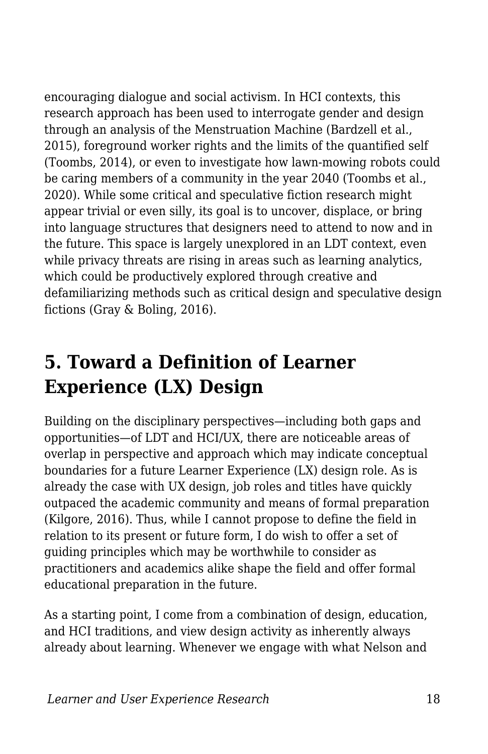encouraging dialogue and social activism. In HCI contexts, this research approach has been used to interrogate gender and design through an analysis of the Menstruation Machine (Bardzell et al., 2015), foreground worker rights and the limits of the quantified self (Toombs, 2014), or even to investigate how lawn-mowing robots could be caring members of a community in the year 2040 (Toombs et al., 2020). While some critical and speculative fiction research might appear trivial or even silly, its goal is to uncover, displace, or bring into language structures that designers need to attend to now and in the future. This space is largely unexplored in an LDT context, even while privacy threats are rising in areas such as learning analytics, which could be productively explored through creative and defamiliarizing methods such as critical design and speculative design fictions (Gray & Boling, 2016).

## **5. Toward a Definition of Learner Experience (LX) Design**

Building on the disciplinary perspectives—including both gaps and opportunities—of LDT and HCI/UX, there are noticeable areas of overlap in perspective and approach which may indicate conceptual boundaries for a future Learner Experience (LX) design role. As is already the case with UX design, job roles and titles have quickly outpaced the academic community and means of formal preparation (Kilgore, 2016). Thus, while I cannot propose to define the field in relation to its present or future form, I do wish to offer a set of guiding principles which may be worthwhile to consider as practitioners and academics alike shape the field and offer formal educational preparation in the future.

As a starting point, I come from a combination of design, education, and HCI traditions, and view design activity as inherently always already about learning. Whenever we engage with what Nelson and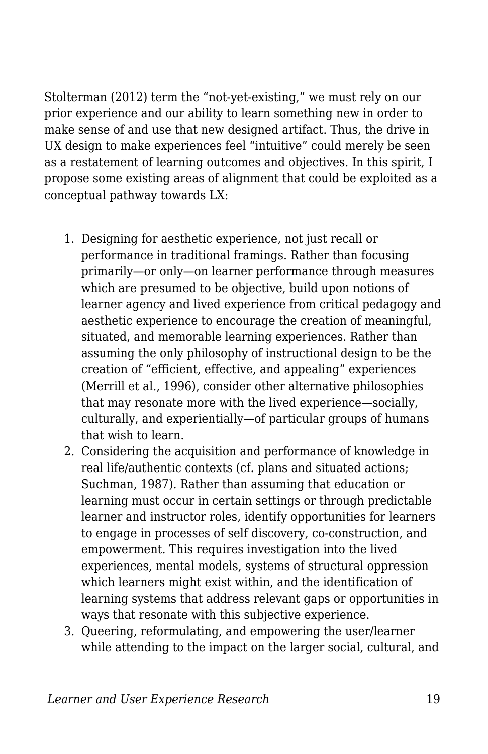Stolterman (2012) term the "not-yet-existing," we must rely on our prior experience and our ability to learn something new in order to make sense of and use that new designed artifact. Thus, the drive in UX design to make experiences feel "intuitive" could merely be seen as a restatement of learning outcomes and objectives. In this spirit, I propose some existing areas of alignment that could be exploited as a conceptual pathway towards LX:

- 1. Designing for aesthetic experience, not just recall or performance in traditional framings. Rather than focusing primarily—or only—on learner performance through measures which are presumed to be objective, build upon notions of learner agency and lived experience from critical pedagogy and aesthetic experience to encourage the creation of meaningful, situated, and memorable learning experiences. Rather than assuming the only philosophy of instructional design to be the creation of "efficient, effective, and appealing" experiences (Merrill et al., 1996), consider other alternative philosophies that may resonate more with the lived experience—socially, culturally, and experientially—of particular groups of humans that wish to learn.
- 2. Considering the acquisition and performance of knowledge in real life/authentic contexts (cf. plans and situated actions; Suchman, 1987). Rather than assuming that education or learning must occur in certain settings or through predictable learner and instructor roles, identify opportunities for learners to engage in processes of self discovery, co-construction, and empowerment. This requires investigation into the lived experiences, mental models, systems of structural oppression which learners might exist within, and the identification of learning systems that address relevant gaps or opportunities in ways that resonate with this subjective experience.
- 3. Queering, reformulating, and empowering the user/learner while attending to the impact on the larger social, cultural, and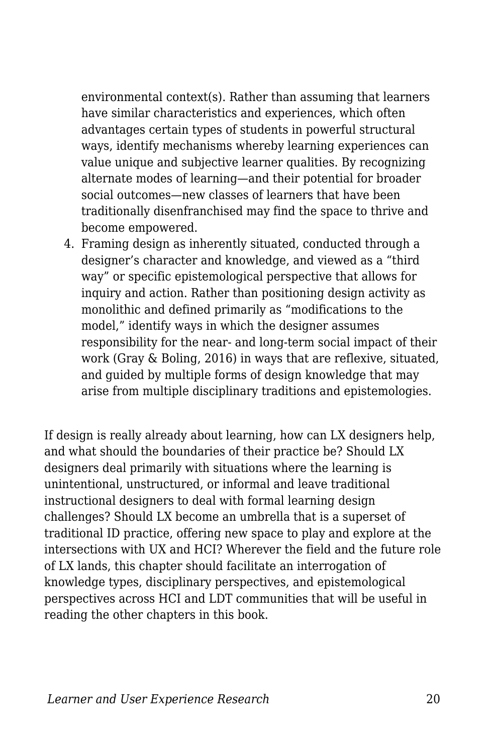environmental context(s). Rather than assuming that learners have similar characteristics and experiences, which often advantages certain types of students in powerful structural ways, identify mechanisms whereby learning experiences can value unique and subjective learner qualities. By recognizing alternate modes of learning—and their potential for broader social outcomes—new classes of learners that have been traditionally disenfranchised may find the space to thrive and become empowered.

4. Framing design as inherently situated, conducted through a designer's character and knowledge, and viewed as a "third way" or specific epistemological perspective that allows for inquiry and action. Rather than positioning design activity as monolithic and defined primarily as "modifications to the model," identify ways in which the designer assumes responsibility for the near- and long-term social impact of their work (Gray & Boling, 2016) in ways that are reflexive, situated, and guided by multiple forms of design knowledge that may arise from multiple disciplinary traditions and epistemologies.

If design is really already about learning, how can LX designers help, and what should the boundaries of their practice be? Should LX designers deal primarily with situations where the learning is unintentional, unstructured, or informal and leave traditional instructional designers to deal with formal learning design challenges? Should LX become an umbrella that is a superset of traditional ID practice, offering new space to play and explore at the intersections with UX and HCI? Wherever the field and the future role of LX lands, this chapter should facilitate an interrogation of knowledge types, disciplinary perspectives, and epistemological perspectives across HCI and LDT communities that will be useful in reading the other chapters in this book.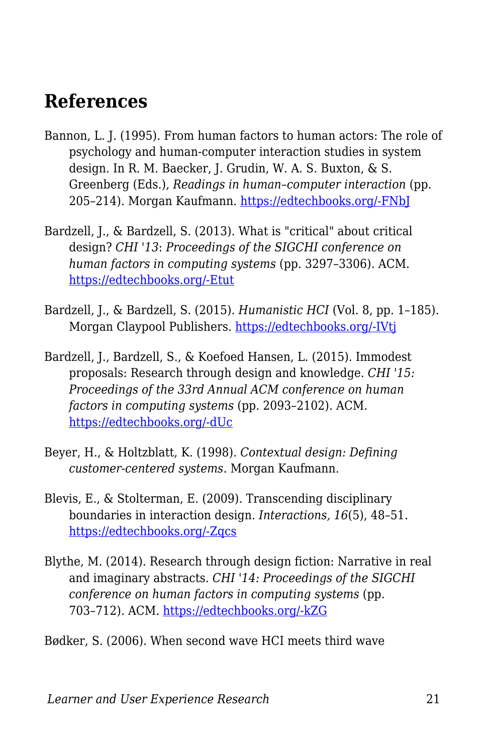### **References**

- Bannon, L. J. (1995). From human factors to human actors: The role of psychology and human-computer interaction studies in system design. In R. M. Baecker, J. Grudin, W. A. S. Buxton, & S. Greenberg (Eds.), *Readings in human–computer interaction* (pp. 205–214). Morgan Kaufmann. [https://edtechbooks.org/-FNbJ](https://doi.org/10.1016/B978-0-08-051574-8.50024-8)
- Bardzell, J., & Bardzell, S. (2013). What is "critical" about critical design? *CHI '13*: *Proceedings of the SIGCHI conference on human factors in computing systems* (pp. 3297–3306). ACM. [https://edtechbooks.org/-Etut](https://doi.org/10.1145/2470654.2466451)
- Bardzell, J., & Bardzell, S. (2015). *Humanistic HCI* (Vol. 8, pp. 1–185). Morgan Claypool Publishers. [https://edtechbooks.org/-IVtj](https://doi.org/10.2200/S00664ED1V01Y201508HCI031)
- Bardzell, J., Bardzell, S., & Koefoed Hansen, L. (2015). Immodest proposals: Research through design and knowledge. *CHI '15: Proceedings of the 33rd Annual ACM conference on human factors in computing systems* (pp. 2093–2102). ACM. [https://edtechbooks.org/-dUc](https://doi.org/10.1145/2702123.2702400)
- Beyer, H., & Holtzblatt, K. (1998). *Contextual design: Defining customer-centered systems*. Morgan Kaufmann.
- Blevis, E., & Stolterman, E. (2009). Transcending disciplinary boundaries in interaction design. *Interactions, 16*(5), 48–51. [https://edtechbooks.org/-Zqcs](https://doi.org/10.1145/1572626.1572636)
- Blythe, M. (2014). Research through design fiction: Narrative in real and imaginary abstracts. *CHI '14: Proceedings of the SIGCHI conference on human factors in computing systems* (pp. 703–712). ACM. [https://edtechbooks.org/-kZG](https://doi.org/10.1145/2556288.2557098)

Bødker, S. (2006). When second wave HCI meets third wave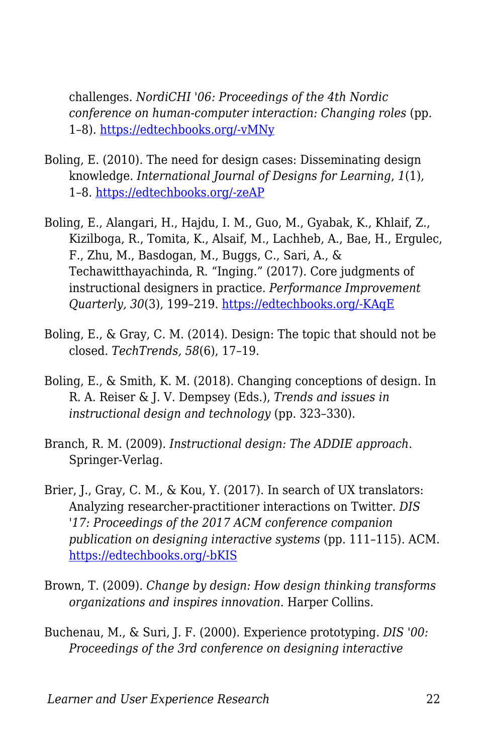challenges. *NordiCHI '06: Proceedings of the 4th Nordic conference on human-computer interaction: Changing roles* (pp. 1–8). [https://edtechbooks.org/-vMNy](https://doi.org/10.1145/1182475.1182476)

- Boling, E. (2010). The need for design cases: Disseminating design knowledge. *International Journal of Designs for Learning*, *1*(1), 1–8. [https://edtechbooks.org/-zeAP](https://doi.org/10.14434/ijdl.v1i1.919)
- Boling, E., Alangari, H., Hajdu, I. M., Guo, M., Gyabak, K., Khlaif, Z., Kizilboga, R., Tomita, K., Alsaif, M., Lachheb, A., Bae, H., Ergulec, F., Zhu, M., Basdogan, M., Buggs, C., Sari, A., & Techawitthayachinda, R. "Inging." (2017). Core judgments of instructional designers in practice. *Performance Improvement Quarterly, 30*(3), 199–219. [https://edtechbooks.org/-KAqE](https://doi.org/10.1002/piq.21250)
- Boling, E., & Gray, C. M. (2014). Design: The topic that should not be closed. *TechTrends, 58*(6), 17–19.
- Boling, E., & Smith, K. M. (2018). Changing conceptions of design. In R. A. Reiser & J. V. Dempsey (Eds.), *Trends and issues in instructional design and technology* (pp. 323–330).
- Branch, R. M. (2009). *Instructional design: The ADDIE approach*. Springer-Verlag.
- Brier, J., Gray, C. M., & Kou, Y. (2017). In search of UX translators: Analyzing researcher-practitioner interactions on Twitter. *DIS '17: Proceedings of the 2017 ACM conference companion publication on designing interactive systems* (pp. 111–115). ACM. [https://edtechbooks.org/-bKIS](https://doi.org/10.1145/3064857.3079129)
- Brown, T. (2009). *Change by design: How design thinking transforms organizations and inspires innovation*. Harper Collins.
- Buchenau, M., & Suri, J. F. (2000). Experience prototyping. *DIS '00: Proceedings of the 3rd conference on designing interactive*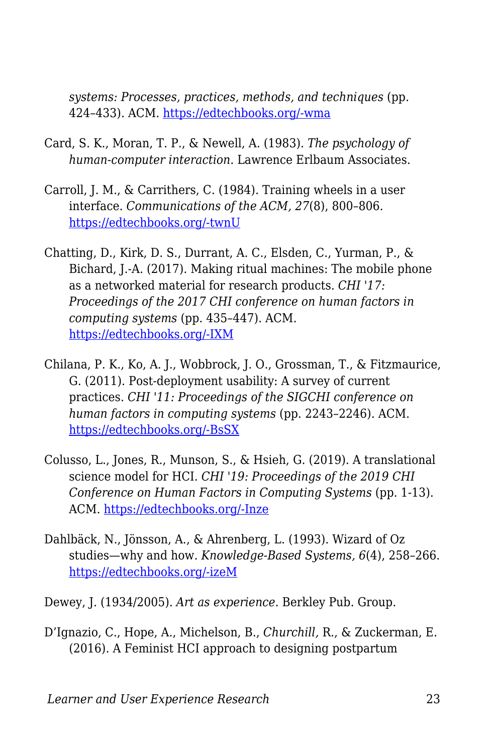*systems: Processes, practices, methods, and techniques* (pp. 424–433). ACM. [https://edtechbooks.org/-wma](https://doi.org/10.1145/347642.347802)

- Card, S. K., Moran, T. P., & Newell, A. (1983). *The psychology of human-computer interaction*. Lawrence Erlbaum Associates.
- Carroll, J. M., & Carrithers, C. (1984). Training wheels in a user interface. *Communications of the ACM, 27*(8), 800–806. [https://edtechbooks.org/-twnU](https://doi.org/10.1145/358198.358218)
- Chatting, D., Kirk, D. S., Durrant, A. C., Elsden, C., Yurman, P., & Bichard, J.-A. (2017). Making ritual machines: The mobile phone as a networked material for research products. *CHI '17: Proceedings of the 2017 CHI conference on human factors in computing systems* (pp. 435–447). ACM. [https://edtechbooks.org/-IXM](https://doi.org/10.1145/3025453.3025630)
- Chilana, P. K., Ko, A. J., Wobbrock, J. O., Grossman, T., & Fitzmaurice, G. (2011). Post-deployment usability: A survey of current practices. *CHI '11: Proceedings of the SIGCHI conference on human factors in computing systems* (pp. 2243–2246). ACM. [https://edtechbooks.org/-BsSX](https://doi.org/10.1145/1978942.1979270)
- Colusso, L., Jones, R., Munson, S., & Hsieh, G. (2019). A translational science model for HCI. *CHI '19: Proceedings of the 2019 CHI Conference on Human Factors in Computing Systems* (pp. 1-13). ACM. [https://edtechbooks.org/-Inze](https://doi.org/10.1145/3290605.3300231)
- Dahlbäck, N., Jönsson, A., & Ahrenberg, L. (1993). Wizard of Oz studies—why and how. *Knowledge-Based Systems, 6*(4), 258–266. [https://edtechbooks.org/-izeM](https://www.sciencedirect.com/science/article/pii/095070519390017N)
- Dewey, J. (1934/2005). *Art as experience*. Berkley Pub. Group.
- D'Ignazio, C., Hope, A., Michelson, B., *Churchill,* R., & Zuckerman, E. (2016). A Feminist HCI approach to designing postpartum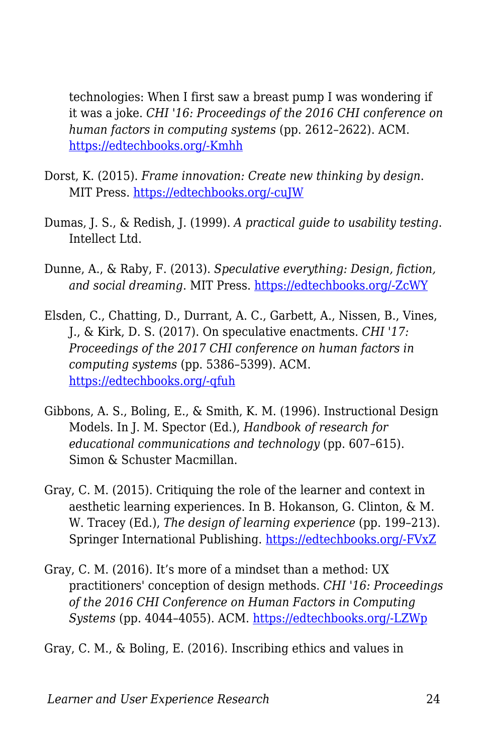technologies: When I first saw a breast pump I was wondering if it was a joke. *CHI '16: Proceedings of the 2016 CHI conference on human factors in computing systems* (pp. 2612–2622). ACM. [https://edtechbooks.org/-Kmhh](https://dl.acm.org/citation.cfm?id=2858460)

- Dorst, K. (2015). *Frame innovation: Create new thinking by design*. MIT Press. [https://edtechbooks.org/-cuJW](http://www.worldcat.org/title/frame-innovation-create-new-thinking-by-design/oclc/912378209)
- Dumas, J. S., & Redish, J. (1999). *A practical guide to usability testing*. Intellect Ltd.
- Dunne, A., & Raby, F. (2013). *Speculative everything: Design, fiction, and social dreaming*. MIT Press. [https://edtechbooks.org/-ZcWY](https://doi.org/10.1080/17547075.2015.1051844)
- Elsden, C., Chatting, D., Durrant, A. C., Garbett, A., Nissen, B., Vines, J., & Kirk, D. S. (2017). On speculative enactments. *CHI '17: Proceedings of the 2017 CHI conference on human factors in computing systems* (pp. 5386–5399). ACM. [https://edtechbooks.org/-qfuh](https://doi.org/10.1145/3025453.3025503)
- Gibbons, A. S., Boling, E., & Smith, K. M. (1996). Instructional Design Models. In J. M. Spector (Ed.), *Handbook of research for educational communications and technology* (pp. 607–615). Simon & Schuster Macmillan.
- Gray, C. M. (2015). Critiquing the role of the learner and context in aesthetic learning experiences. In B. Hokanson, G. Clinton, & M. W. Tracey (Ed.), *The design of learning experience* (pp. 199–213). Springer International Publishing. [https://edtechbooks.org/-FVxZ](https://doi.org/10.1007/978-3-319-16504-2_14)
- Gray, C. M. (2016). It's more of a mindset than a method: UX practitioners' conception of design methods. *CHI '16: Proceedings of the 2016 CHI Conference on Human Factors in Computing Systems* (pp. 4044–4055). ACM. [https://edtechbooks.org/-LZWp](https://doi.org/10.1145/2858036.2858410)

Gray, C. M., & Boling, E. (2016). Inscribing ethics and values in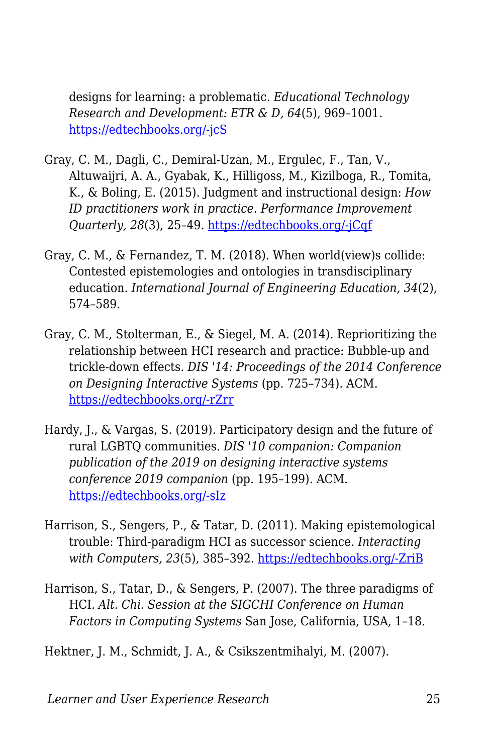designs for learning: a problematic. *Educational Technology Research and Development: ETR & D, 64*(5), 969–1001. [https://edtechbooks.org/-jcS](https://doi.org/10.1007/s11423-016-9478-x)

- Gray, C. M., Dagli, C., Demiral-Uzan, M., Ergulec, F., Tan, V., Altuwaijri, A. A., Gyabak, K., Hilligoss, M., Kizilboga, R., Tomita, K., & Boling, E. (2015). Judgment and instructional design: *How ID practitioners work in practice. Performance Improvement Quarterly, 28*(3), 25–49. [https://edtechbooks.org/-jCqf](https://doi.org/10.1002/piq.21198)
- Gray, C. M., & Fernandez, T. M. (2018). When world(view)s collide: Contested epistemologies and ontologies in transdisciplinary education. *International Journal of Engineering Education, 34*(2), 574–589.
- Gray, C. M., Stolterman, E., & Siegel, M. A. (2014). Reprioritizing the relationship between HCI research and practice: Bubble-up and trickle-down effects. *DIS '14: Proceedings of the 2014 Conference on Designing Interactive Systems* (pp. 725–734). ACM. [https://edtechbooks.org/-rZrr](https://doi.org/10.1145/2598510.2598595)
- Hardy, J., & Vargas, S. (2019). Participatory design and the future of rural LGBTQ communities. *DIS '10 companion: Companion publication of the 2019 on designing interactive systems conference 2019 companion* (pp. 195–199). ACM. [https://edtechbooks.org/-sIz](https://doi.org/10.1145/3301019.3323894)
- Harrison, S., Sengers, P., & Tatar, D. (2011). Making epistemological trouble: Third-paradigm HCI as successor science. *Interacting with Computers, 23*(5), 385–392. [https://edtechbooks.org/-ZriB](https://doi.org/10.1016/j.intcom.2011.03.005)
- Harrison, S., Tatar, D., & Sengers, P. (2007). The three paradigms of HCI. *Alt. Chi. Session at the SIGCHI Conference on Human Factors in Computing Systems* San Jose, California, USA, 1–18.

Hektner, J. M., Schmidt, J. A., & Csikszentmihalyi, M. (2007).

*Learner and User Experience Research* 25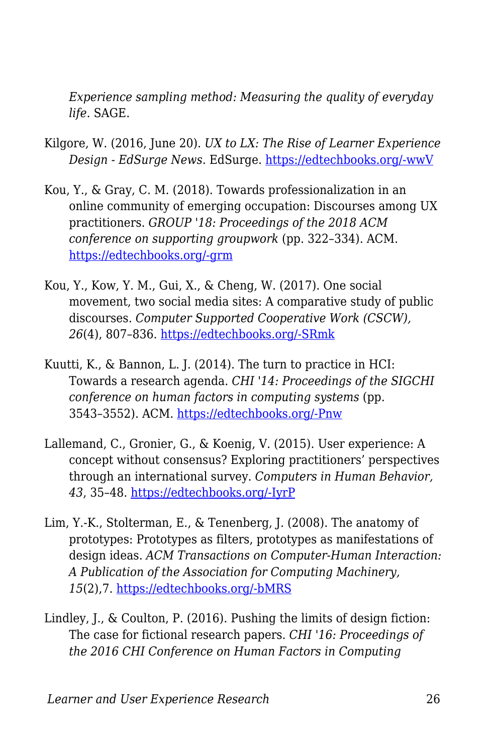*Experience sampling method: Measuring the quality of everyday life*. SAGE.

- Kilgore, W. (2016, June 20). *UX to LX: The Rise of Learner Experience Design - EdSurge News*. EdSurge. [https://edtechbooks.org/-wwV](https://www.edsurge.com/news/2016-06-20-ux-to-lx-the-rise-of-learner-experience-design)
- Kou, Y., & Gray, C. M. (2018). Towards professionalization in an online community of emerging occupation: Discourses among UX practitioners. *GROUP '18: Proceedings of the 2018 ACM conference on supporting groupwork* (pp. 322–334). ACM. [https://edtechbooks.org/-grm](https://doi.org/10.1145/3148330.3148352)
- Kou, Y., Kow, Y. M., Gui, X., & Cheng, W. (2017). One social movement, two social media sites: A comparative study of public discourses. *Computer Supported Cooperative Work (CSCW), 26*(4), 807–836. [https://edtechbooks.org/-SRmk](https://doi.org/10.1007/s10606-017-9284-y)
- Kuutti, K., & Bannon, L. J. (2014). The turn to practice in HCI: Towards a research agenda. *CHI '14: Proceedings of the SIGCHI conference on human factors in computing systems* (pp. 3543–3552). ACM. [https://edtechbooks.org/-Pnw](https://doi.org/10.1145/2556288.2557111)
- Lallemand, C., Gronier, G., & Koenig, V. (2015). User experience: A concept without consensus? Exploring practitioners' perspectives through an international survey. *Computers in Human Behavior, 43*, 35–48. [https://edtechbooks.org/-IyrP](https://doi.org/10.1016/j.chb.2014.10.048)
- Lim, Y.-K., Stolterman, E., & Tenenberg, J. (2008). The anatomy of prototypes: Prototypes as filters, prototypes as manifestations of design ideas. *ACM Transactions on Computer-Human Interaction: A Publication of the Association for Computing Machinery, 15*(2),7. [https://edtechbooks.org/-bMRS](https://doi.org/10.1145/1375761.1375762)
- Lindley, J., & Coulton, P. (2016). Pushing the limits of design fiction: The case for fictional research papers. *CHI '16: Proceedings of the 2016 CHI Conference on Human Factors in Computing*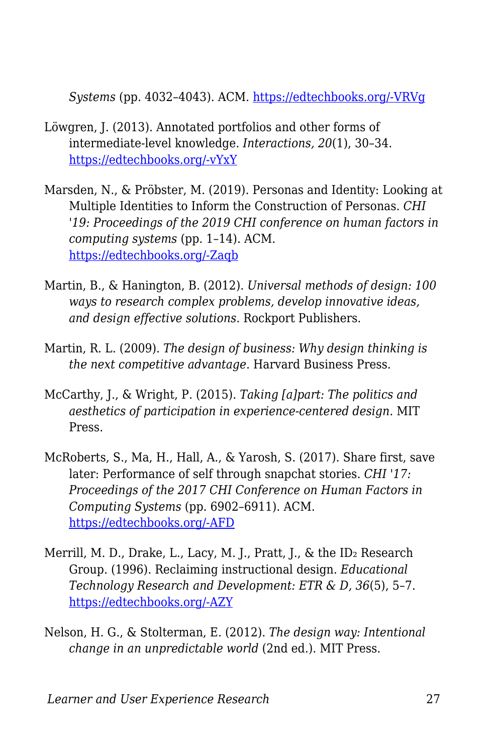*Systems* (pp. 4032–4043). ACM. [https://edtechbooks.org/-VRVg](https://doi.org/10.1145/2858036.2858446)

- Löwgren, J. (2013). Annotated portfolios and other forms of intermediate-level knowledge. *Interactions, 20*(1), 30–34. [https://edtechbooks.org/-vYxY](https://doi.org/10.1145/2405716.2405725)
- Marsden, N., & Pröbster, M. (2019). Personas and Identity: Looking at Multiple Identities to Inform the Construction of Personas. *CHI '19: Proceedings of the 2019 CHI conference on human factors in computing systems* (pp. 1–14). ACM. [https://edtechbooks.org/-Zaqb](https://doi.org/10.1145/3290605.3300565)
- Martin, B., & Hanington, B. (2012). *Universal methods of design: 100 ways to research complex problems, develop innovative ideas, and design effective solutions*. Rockport Publishers.
- Martin, R. L. (2009). *The design of business: Why design thinking is the next competitive advantage*. Harvard Business Press.
- McCarthy, J., & Wright, P. (2015). *Taking [a]part: The politics and aesthetics of participation in experience-centered design*. MIT Press.
- McRoberts, S., Ma, H., Hall, A., & Yarosh, S. (2017). Share first, save later: Performance of self through snapchat stories. *CHI '17: Proceedings of the 2017 CHI Conference on Human Factors in Computing Systems* (pp. 6902–6911). ACM. [https://edtechbooks.org/-AFD](https://doi.org/10.1145/3025453.3025771)
- Merrill, M. D., Drake, L., Lacy, M. J., Pratt, J., & the ID<sub>2</sub> Research Group. (1996). Reclaiming instructional design. *Educational Technology Research and Development: ETR & D, 36*(5), 5–7. [https://edtechbooks.org/-AZY](http://www.jstor.org/stable/44428356)
- Nelson, H. G., & Stolterman, E. (2012). *The design way: Intentional change in an unpredictable world* (2nd ed.). MIT Press.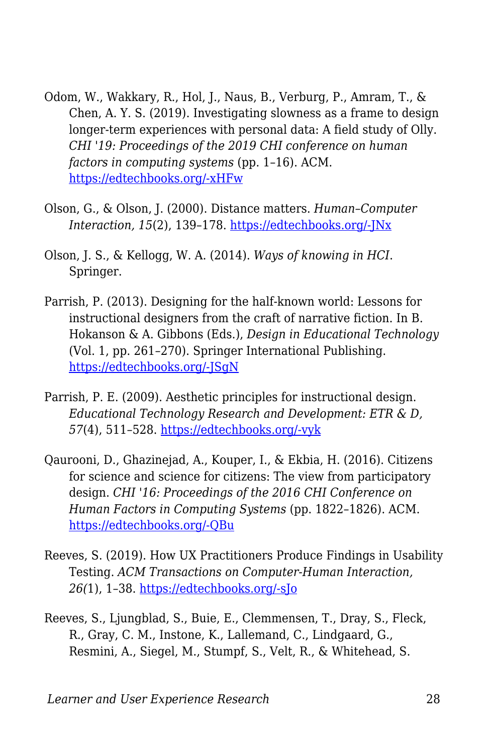- Odom, W., Wakkary, R., Hol, J., Naus, B., Verburg, P., Amram, T., & Chen, A. Y. S. (2019). Investigating slowness as a frame to design longer-term experiences with personal data: A field study of Olly. *CHI '19: Proceedings of the 2019 CHI conference on human factors in computing systems* (pp. 1–16). ACM. [https://edtechbooks.org/-xHFw](https://doi.org/10.1145/3290605.3300264)
- Olson, G., & Olson, J. (2000). Distance matters. *Human–Computer Interaction, 15*(2), 139–178. [https://edtechbooks.org/-JNx](https://doi.org/10.1207/S15327051HCI1523_4)
- Olson, J. S., & Kellogg, W. A. (2014). *Ways of knowing in HCI*. Springer.
- Parrish, P. (2013). Designing for the half-known world: Lessons for instructional designers from the craft of narrative fiction. In B. Hokanson & A. Gibbons (Eds.), *Design in Educational Technology* (Vol. 1, pp. 261–270). Springer International Publishing. [https://edtechbooks.org/-JSgN](http://link.springer.com/10.1007/978-3-319-00927-8_15)
- Parrish, P. E. (2009). Aesthetic principles for instructional design. *Educational Technology Research and Development: ETR & D, 57*(4), 511–528. [https://edtechbooks.org/-vyk](https://doi.org/10.1007/s11423-007-9060-7)
- Qaurooni, D., Ghazinejad, A., Kouper, I., & Ekbia, H. (2016). Citizens for science and science for citizens: The view from participatory design. *CHI '16: Proceedings of the 2016 CHI Conference on Human Factors in Computing Systems* (pp. 1822–1826). ACM. [https://edtechbooks.org/-QBu](https://doi.org/10.1145/2858036.2858575)
- Reeves, S. (2019). How UX Practitioners Produce Findings in Usability Testing. *ACM Transactions on Computer-Human Interaction, 26(*1), 1–38. [https://edtechbooks.org/-sJo](https://doi.org/10.1145/3299096)
- Reeves, S., Ljungblad, S., Buie, E., Clemmensen, T., Dray, S., Fleck, R., Gray, C. M., Instone, K., Lallemand, C., Lindgaard, G., Resmini, A., Siegel, M., Stumpf, S., Velt, R., & Whitehead, S.

*Learner and User Experience Research* 28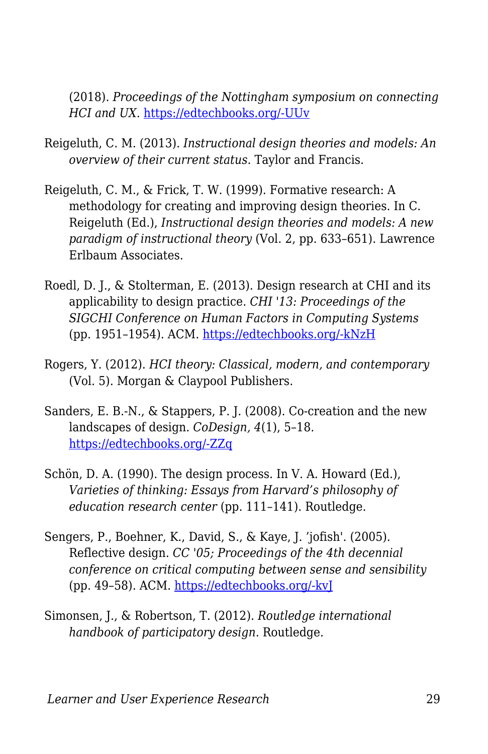(2018). *Proceedings of the Nottingham symposium on connecting HCI and UX.* [https://edtechbooks.org/-UUv](https://doi.org/10.17639/8vez-c741)

- Reigeluth, C. M. (2013). *Instructional design theories and models: An overview of their current status*. Taylor and Francis.
- Reigeluth, C. M., & Frick, T. W. (1999). Formative research: A methodology for creating and improving design theories. In C. Reigeluth (Ed.), *Instructional design theories and models: A new paradigm of instructional theory* (Vol. 2, pp. 633–651). Lawrence Erlbaum Associates.
- Roedl, D. J., & Stolterman, E. (2013). Design research at CHI and its applicability to design practice. *CHI '13: Proceedings of the SIGCHI Conference on Human Factors in Computing Systems* (pp. 1951–1954). ACM. [https://edtechbooks.org/-kNzH](https://doi.org/10.1145/2470654.2466257)
- Rogers, Y. (2012). *HCI theory: Classical, modern, and contemporary* (Vol. 5). Morgan & Claypool Publishers.
- Sanders, E. B.-N., & Stappers, P. J. (2008). Co-creation and the new landscapes of design. *CoDesign, 4*(1), 5–18. [https://edtechbooks.org/-ZZq](https://doi.org/10.1080/15710880701875068)
- Schön, D. A. (1990). The design process. In V. A. Howard (Ed.), *Varieties of thinking: Essays from Harvard's philosophy of education research center* (pp. 111–141). Routledge.
- Sengers, P., Boehner, K., David, S., & Kaye, J. 'jofish'. (2005). Reflective design. *CC '05; Proceedings of the 4th decennial conference on critical computing between sense and sensibility* (pp. 49–58). ACM. [https://edtechbooks.org/-kvJ](https://doi.org/10.1145/1094562.1094569)
- Simonsen, J., & Robertson, T. (2012). *Routledge international handbook of participatory design*. Routledge.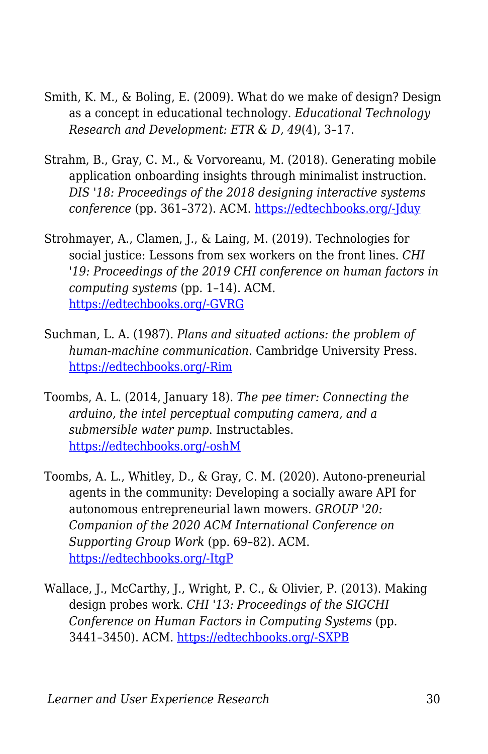- Smith, K. M., & Boling, E. (2009). What do we make of design? Design as a concept in educational technology. *Educational Technology Research and Development: ETR & D, 49*(4), 3–17.
- Strahm, B., Gray, C. M., & Vorvoreanu, M. (2018). Generating mobile application onboarding insights through minimalist instruction. *DIS '18: Proceedings of the 2018 designing interactive systems conference* (pp. 361–372). ACM. [https://edtechbooks.org/-Jduy](https://doi.org/10.1145/3196709.3196727)
- Strohmayer, A., Clamen, J., & Laing, M. (2019). Technologies for social justice: Lessons from sex workers on the front lines. *CHI '19: Proceedings of the 2019 CHI conference on human factors in computing systems* (pp. 1–14). ACM. [https://edtechbooks.org/-GVRG](https://doi.org/10.1145/3290605.3300882)
- Suchman, L. A. (1987). *Plans and situated actions: the problem of human-machine communication*. Cambridge University Press. [https://edtechbooks.org/-Rim](http://dl.acm.org/citation.cfm?id=38407)
- Toombs, A. L. (2014, January 18). *The pee timer: Connecting the arduino, the intel perceptual computing camera, and a submersible water pump*. Instructables. [https://edtechbooks.org/-oshM](https://www.instructables.com/id/The-Pee-Timer-Connecting-the-Arduino-the-Intel-Per/)
- Toombs, A. L., Whitley, D., & Gray, C. M. (2020). Autono-preneurial agents in the community: Developing a socially aware API for autonomous entrepreneurial lawn mowers. *GROUP '20: Companion of the 2020 ACM International Conference on Supporting Group Work* (pp. 69–82). ACM. [https://edtechbooks.org/-ItgP](https://doi.org/10.1145/3323994.3369900)
- Wallace, J., McCarthy, J., Wright, P. C., & Olivier, P. (2013). Making design probes work. *CHI '13: Proceedings of the SIGCHI Conference on Human Factors in Computing Systems* (pp. 3441–3450). ACM. [https://edtechbooks.org/-SXPB](https://doi.org/10.1145/2470654.2466473)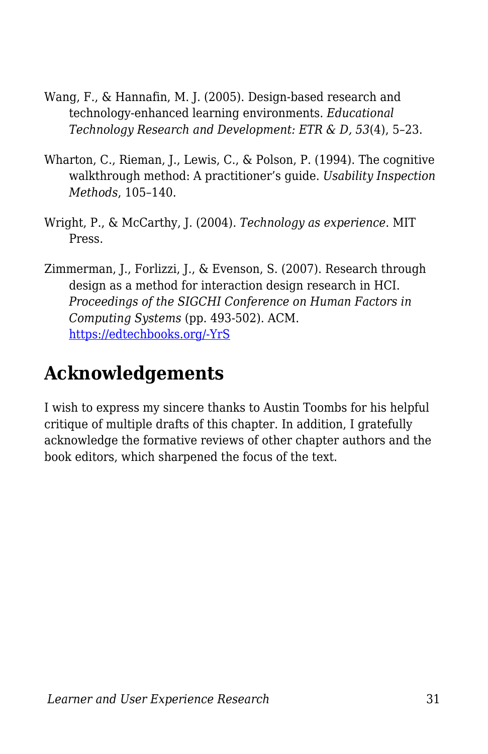- Wang, F., & Hannafin, M. J. (2005). Design-based research and technology-enhanced learning environments. *Educational Technology Research and Development: ETR & D, 53*(4), 5–23.
- Wharton, C., Rieman, J., Lewis, C., & Polson, P. (1994). The cognitive walkthrough method: A practitioner's guide. *Usability Inspection Methods*, 105–140.
- Wright, P., & McCarthy, J. (2004). *Technology as experience*. MIT Press.
- Zimmerman, J., Forlizzi, J., & Evenson, S. (2007). Research through design as a method for interaction design research in HCI. *Proceedings of the SIGCHI Conference on Human Factors in Computing Systems* (pp. 493-502). ACM. [https://edtechbooks.org/-YrS](https://doi.org/10.1145/1240624.1240704)

## **Acknowledgements**

I wish to express my sincere thanks to Austin Toombs for his helpful critique of multiple drafts of this chapter. In addition, I gratefully acknowledge the formative reviews of other chapter authors and the book editors, which sharpened the focus of the text.